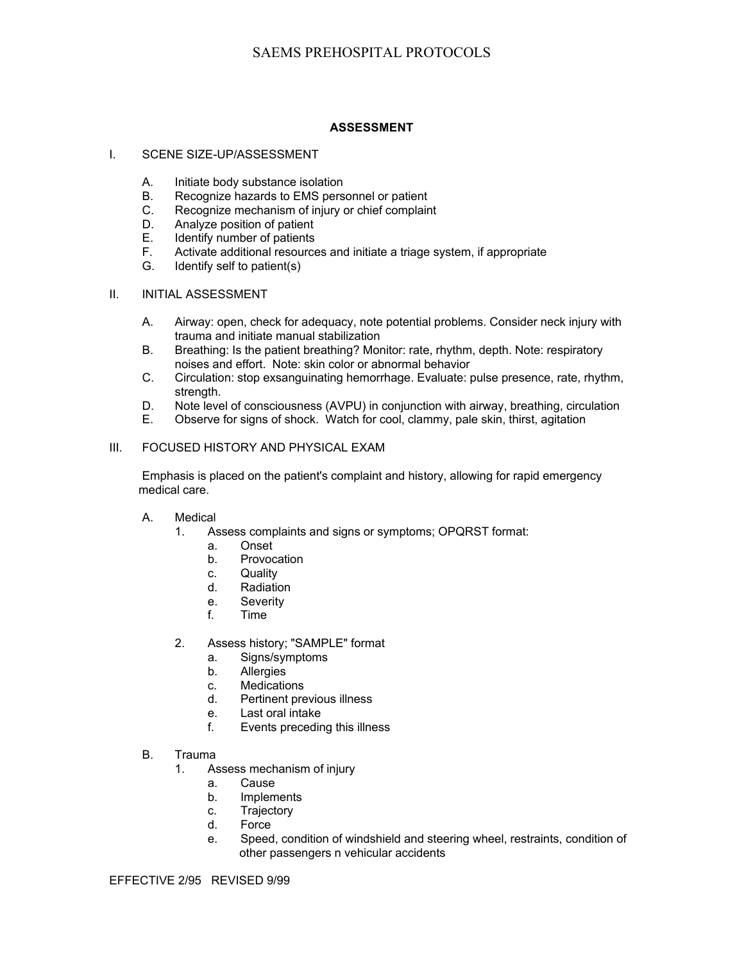## **ASSESSMENT**

#### I. SCENE SIZE-UP/ASSESSMENT

- A. Initiate body substance isolation
- B. Recognize hazards to EMS personnel or patient
- C. Recognize mechanism of injury or chief complaint
- D. Analyze position of patient
- E. Identify number of patients
- F. Activate additional resources and initiate a triage system, if appropriate
- G. Identify self to patient(s)

### II. INITIAL ASSESSMENT

- A. Airway: open, check for adequacy, note potential problems. Consider neck injury with trauma and initiate manual stabilization
- B. Breathing: Is the patient breathing? Monitor: rate, rhythm, depth. Note: respiratory noises and effort. Note: skin color or abnormal behavior
- C. Circulation: stop exsanguinating hemorrhage. Evaluate: pulse presence, rate, rhythm, strength.
- D. Note level of consciousness (AVPU) in conjunction with airway, breathing, circulation
- E. Observe for signs of shock. Watch for cool, clammy, pale skin, thirst, agitation

## III. FOCUSED HISTORY AND PHYSICAL EXAM

Emphasis is placed on the patient's complaint and history, allowing for rapid emergency medical care.

#### A. Medical

- 1. Assess complaints and signs or symptoms; OPQRST format:
	- a. Onset
	- b. Provocation
	- c. Quality
	- d. Radiation
	- e. Severity
	- f. Time
- 2. Assess history; "SAMPLE" format
	- a. Signs/symptoms
	- b. Allergies
	- c. Medications<br>d. Pertinent pre
	- Pertinent previous illness
	- e. Last oral intake
	- f. Events preceding this illness
- B. Trauma
	- 1. Assess mechanism of injury
		- a. Cause
		- b. Implements
		- c. Trajectory
		- d. Force
		- e. Speed, condition of windshield and steering wheel, restraints, condition of other passengers n vehicular accidents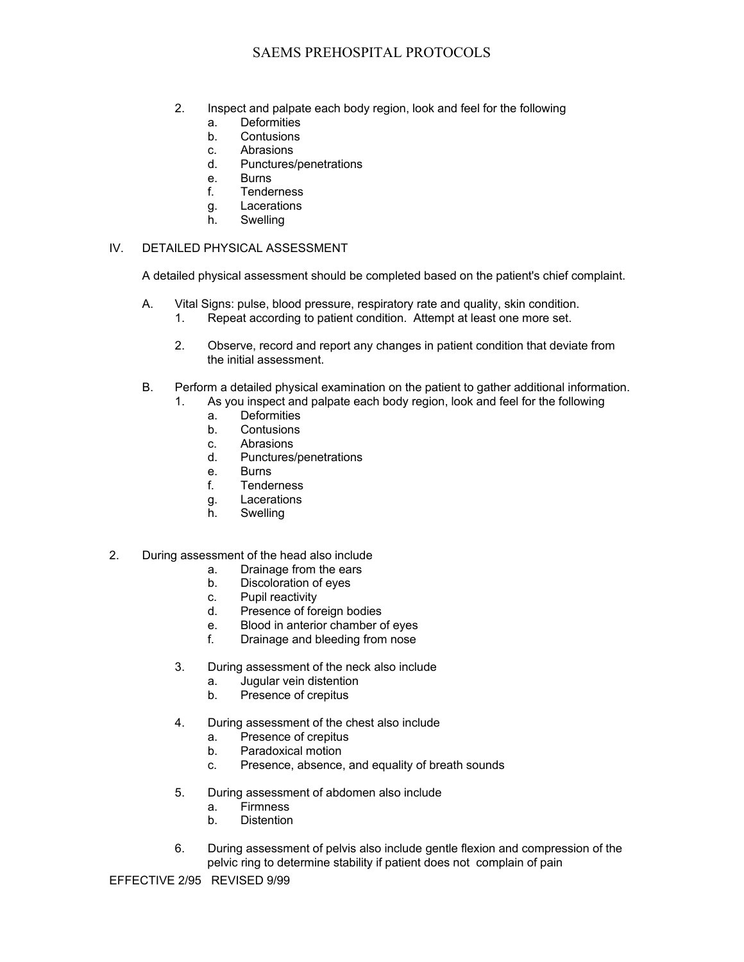# SAEMS PREHOSPITAL PROTOCOLS

- 2. Inspect and palpate each body region, look and feel for the following
	- a. Deformities
	- b. Contusions
	- c. Abrasions
	- d. Punctures/penetrations
	- e. Burns
	- f. Tenderness
	- g. Lacerations
	- h. Swelling

## IV. DETAILED PHYSICAL ASSESSMENT

A detailed physical assessment should be completed based on the patient's chief complaint.

- A. Vital Signs: pulse, blood pressure, respiratory rate and quality, skin condition.
	- 1. Repeat according to patient condition. Attempt at least one more set.
	- 2. Observe, record and report any changes in patient condition that deviate from the initial assessment.
- B. Perform a detailed physical examination on the patient to gather additional information.
	- 1. As you inspect and palpate each body region, look and feel for the following
		- a. Deformities
		- b. Contusions
		- c. Abrasions
		- d. Punctures/penetrations
		- e. Burns
		- f. Tenderness
		- g. Lacerations
		- h. Swelling
- 2. During assessment of the head also include
	- a. Drainage from the ears
	- b. Discoloration of eyes
	- c. Pupil reactivity
	- d. Presence of foreign bodies
	- e. Blood in anterior chamber of eyes
	- f. Drainage and bleeding from nose
	- 3. During assessment of the neck also include
		- a. Jugular vein distention
		- b. Presence of crepitus
	- 4. During assessment of the chest also include
		- a. Presence of crepitus
		- b. Paradoxical motion
		- c. Presence, absence, and equality of breath sounds
	- 5. During assessment of abdomen also include
		- a. Firmness
		- b. Distention
	- 6. During assessment of pelvis also include gentle flexion and compression of the pelvic ring to determine stability if patient does not complain of pain

EFFECTIVE 2/95 REVISED 9/99